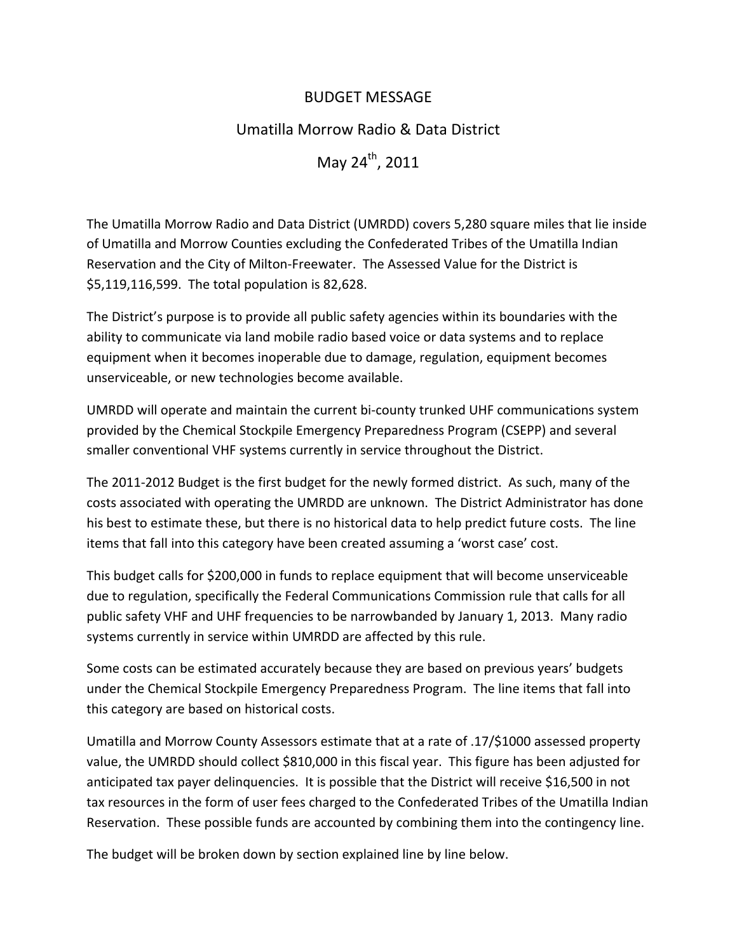# BUDGET MESSAGE

# Umatilla Morrow Radio & Data District

May 24<sup>th</sup>, 2011

The Umatilla Morrow Radio and Data District (UMRDD) covers 5,280 square miles that lie inside of Umatilla and Morrow Counties excluding the Confederated Tribes of the Umatilla Indian Reservation and the City of Milton‐Freewater. The Assessed Value for the District is \$5,119,116,599. The total population is 82,628.

The District's purpose is to provide all public safety agencies within its boundaries with the ability to communicate via land mobile radio based voice or data systems and to replace equipment when it becomes inoperable due to damage, regulation, equipment becomes unserviceable, or new technologies become available.

UMRDD will operate and maintain the current bi‐county trunked UHF communications system provided by the Chemical Stockpile Emergency Preparedness Program (CSEPP) and several smaller conventional VHF systems currently in service throughout the District.

The 2011‐2012 Budget is the first budget for the newly formed district. As such, many of the costs associated with operating the UMRDD are unknown. The District Administrator has done his best to estimate these, but there is no historical data to help predict future costs. The line items that fall into this category have been created assuming a 'worst case' cost.

This budget calls for \$200,000 in funds to replace equipment that will become unserviceable due to regulation, specifically the Federal Communications Commission rule that calls for all public safety VHF and UHF frequencies to be narrowbanded by January 1, 2013. Many radio systems currently in service within UMRDD are affected by this rule.

Some costs can be estimated accurately because they are based on previous years' budgets under the Chemical Stockpile Emergency Preparedness Program. The line items that fall into this category are based on historical costs.

Umatilla and Morrow County Assessors estimate that at a rate of .17/\$1000 assessed property value, the UMRDD should collect \$810,000 in this fiscal year. This figure has been adjusted for anticipated tax payer delinquencies. It is possible that the District will receive \$16,500 in not tax resources in the form of user fees charged to the Confederated Tribes of the Umatilla Indian Reservation. These possible funds are accounted by combining them into the contingency line.

The budget will be broken down by section explained line by line below.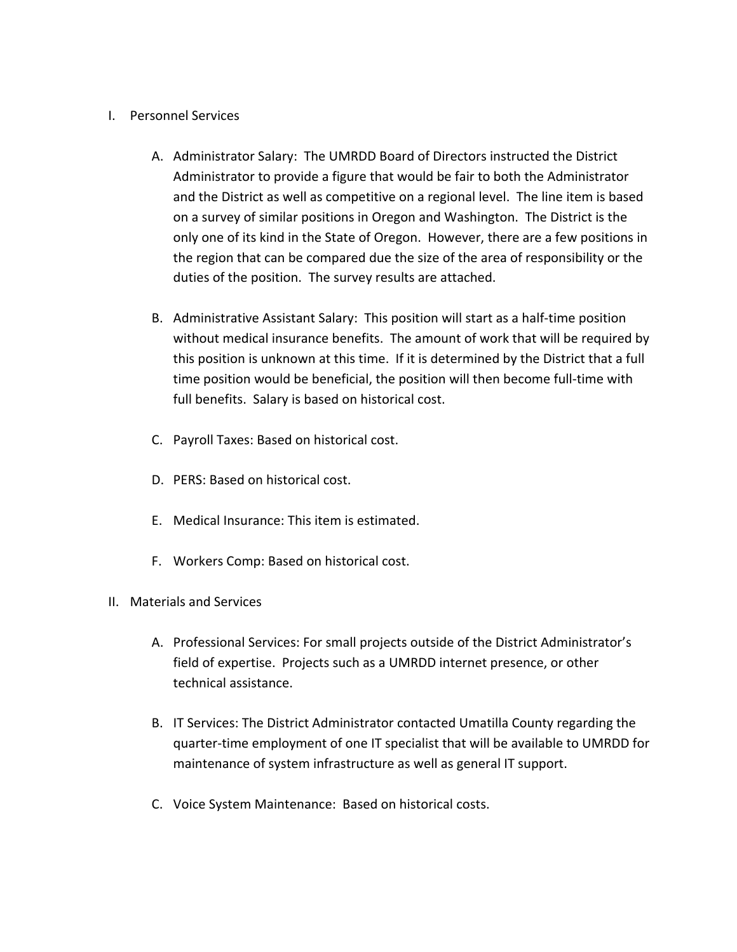#### I. Personnel Services

- A. Administrator Salary: The UMRDD Board of Directors instructed the District Administrator to provide a figure that would be fair to both the Administrator and the District as well as competitive on a regional level. The line item is based on a survey of similar positions in Oregon and Washington. The District is the only one of its kind in the State of Oregon. However, there are a few positions in the region that can be compared due the size of the area of responsibility or the duties of the position. The survey results are attached.
- B. Administrative Assistant Salary: This position will start as a half‐time position without medical insurance benefits. The amount of work that will be required by this position is unknown at this time. If it is determined by the District that a full time position would be beneficial, the position will then become full‐time with full benefits. Salary is based on historical cost.
- C. Payroll Taxes: Based on historical cost.
- D. PERS: Based on historical cost.
- E. Medical Insurance: This item is estimated.
- F. Workers Comp: Based on historical cost.
- II. Materials and Services
	- A. Professional Services: For small projects outside of the District Administrator's field of expertise. Projects such as a UMRDD internet presence, or other technical assistance.
	- B. IT Services: The District Administrator contacted Umatilla County regarding the quarter‐time employment of one IT specialist that will be available to UMRDD for maintenance of system infrastructure as well as general IT support.
	- C. Voice System Maintenance: Based on historical costs.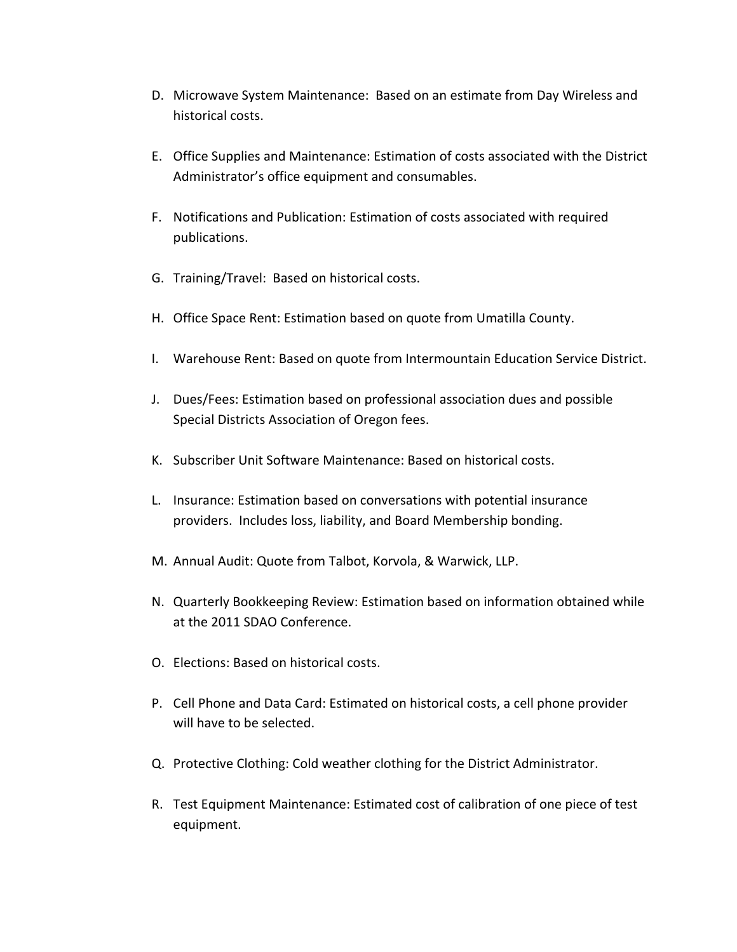- D. Microwave System Maintenance: Based on an estimate from Day Wireless and historical costs.
- E. Office Supplies and Maintenance: Estimation of costs associated with the District Administrator's office equipment and consumables.
- F. Notifications and Publication: Estimation of costs associated with required publications.
- G. Training/Travel: Based on historical costs.
- H. Office Space Rent: Estimation based on quote from Umatilla County.
- I. Warehouse Rent: Based on quote from Intermountain Education Service District.
- J. Dues/Fees: Estimation based on professional association dues and possible Special Districts Association of Oregon fees.
- K. Subscriber Unit Software Maintenance: Based on historical costs.
- L. Insurance: Estimation based on conversations with potential insurance providers. Includes loss, liability, and Board Membership bonding.
- M. Annual Audit: Quote from Talbot, Korvola, & Warwick, LLP.
- N. Quarterly Bookkeeping Review: Estimation based on information obtained while at the 2011 SDAO Conference.
- O. Elections: Based on historical costs.
- P. Cell Phone and Data Card: Estimated on historical costs, a cell phone provider will have to be selected.
- Q. Protective Clothing: Cold weather clothing for the District Administrator.
- R. Test Equipment Maintenance: Estimated cost of calibration of one piece of test equipment.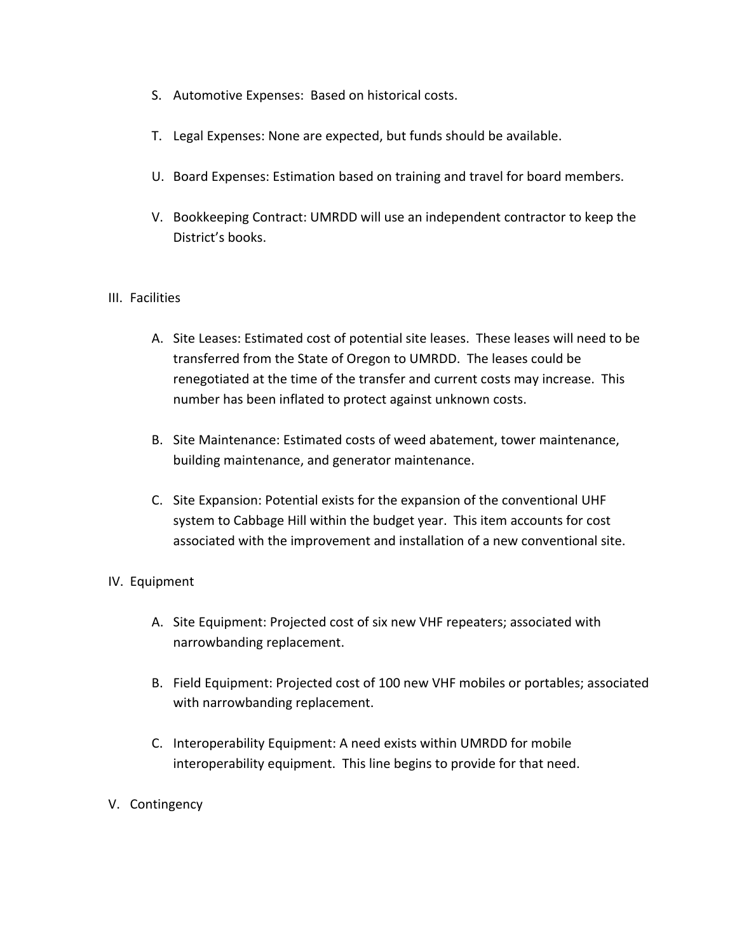- S. Automotive Expenses: Based on historical costs.
- T. Legal Expenses: None are expected, but funds should be available.
- U. Board Expenses: Estimation based on training and travel for board members.
- V. Bookkeeping Contract: UMRDD will use an independent contractor to keep the District's books.

#### III. Facilities

- A. Site Leases: Estimated cost of potential site leases. These leases will need to be transferred from the State of Oregon to UMRDD. The leases could be renegotiated at the time of the transfer and current costs may increase. This number has been inflated to protect against unknown costs.
- B. Site Maintenance: Estimated costs of weed abatement, tower maintenance, building maintenance, and generator maintenance.
- C. Site Expansion: Potential exists for the expansion of the conventional UHF system to Cabbage Hill within the budget year. This item accounts for cost associated with the improvement and installation of a new conventional site.

## IV. Equipment

- A. Site Equipment: Projected cost of six new VHF repeaters; associated with narrowbanding replacement.
- B. Field Equipment: Projected cost of 100 new VHF mobiles or portables; associated with narrowbanding replacement.
- C. Interoperability Equipment: A need exists within UMRDD for mobile interoperability equipment. This line begins to provide for that need.

## V. Contingency